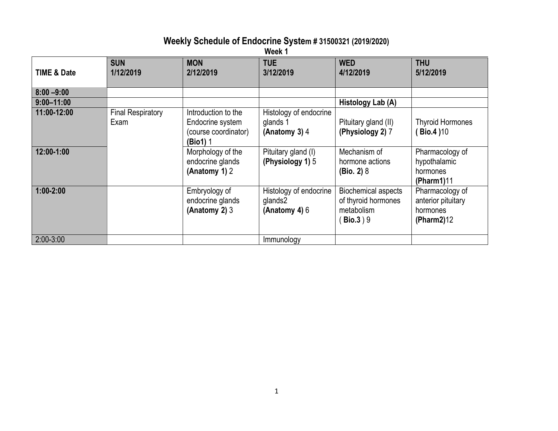### **Weekly Schedule of Endocrine System # 31500321 (2019/2020)**

**Week 1**

| <b>TIME &amp; Date</b> | <b>SUN</b><br>1/12/2019          | <b>MON</b><br>2/12/2019                                                     | <b>TUE</b><br>3/12/2019                              | <b>WED</b><br>4/12/2019                                                             | <b>THU</b><br>5/12/2019                                         |
|------------------------|----------------------------------|-----------------------------------------------------------------------------|------------------------------------------------------|-------------------------------------------------------------------------------------|-----------------------------------------------------------------|
| $8:00 - 9:00$          |                                  |                                                                             |                                                      |                                                                                     |                                                                 |
| $9:00 - 11:00$         |                                  |                                                                             |                                                      | Histology Lab (A)                                                                   |                                                                 |
| 11:00-12:00            | <b>Final Respiratory</b><br>Exam | Introduction to the<br>Endocrine system<br>(course coordinator)<br>(Bio1) 1 | Histology of endocrine<br>glands 1<br>(Anatomy 3) 4  | Pituitary gland (II)<br>(Physiology 2) 7                                            | <b>Thyroid Hormones</b><br><b>Bio.4 )10</b>                     |
| 12:00-1:00             |                                  | Morphology of the<br>endocrine glands<br>(Anatomy 1) 2                      | Pituitary gland (I)<br>(Physiology 1) 5              | Mechanism of<br>hormone actions<br>(Bio. 2) 8                                       | Pharmacology of<br>hypothalamic<br>hormones<br>(Pharm1)11       |
| $1:00-2:00$            |                                  | Embryology of<br>endocrine glands<br>(Anatomy 2) 3                          | Histology of endocrine<br>glands2<br>(Anatomy 4) $6$ | <b>Biochemical aspects</b><br>of thyroid hormones<br>metabolism<br><b>Bio.3</b> ) 9 | Pharmacology of<br>anterior pituitary<br>hormones<br>(Pharm2)12 |
| $2:00 - 3:00$          |                                  |                                                                             | Immunology                                           |                                                                                     |                                                                 |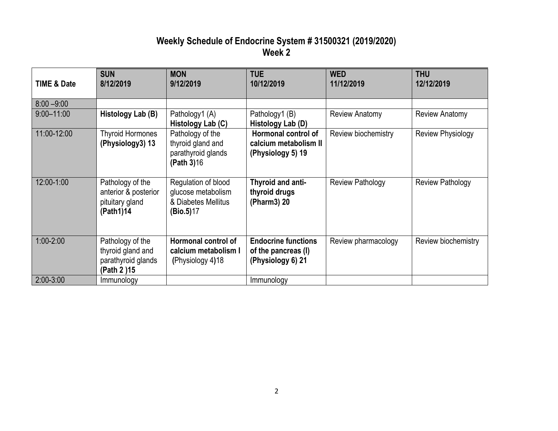# **Weekly Schedule of Endocrine System # 31500321 (2019/2020) Week 2**

| <b>TIME &amp; Date</b> | <b>SUN</b><br>8/12/2019                                                    | <b>MON</b><br>9/12/2019                                                       | <b>TUE</b><br>10/12/2019                                               | <b>WED</b><br>11/12/2019 | <b>THU</b><br>12/12/2019 |
|------------------------|----------------------------------------------------------------------------|-------------------------------------------------------------------------------|------------------------------------------------------------------------|--------------------------|--------------------------|
| $8:00 - 9:00$          |                                                                            |                                                                               |                                                                        |                          |                          |
| $9:00 - 11:00$         | Histology Lab (B)                                                          | Pathology1 (A)<br>Histology Lab (C)                                           | Pathology1 (B)<br>Histology Lab (D)                                    | <b>Review Anatomy</b>    | <b>Review Anatomy</b>    |
| 11:00-12:00            | <b>Thyroid Hormones</b><br>(Physiology3) 13                                | Pathology of the<br>thyroid gland and<br>parathyroid glands<br>(Path 3)16     | Hormonal control of<br>calcium metabolism II<br>(Physiology 5) 19      | Review biochemistry      | <b>Review Physiology</b> |
| 12:00-1:00             | Pathology of the<br>anterior & posterior<br>pituitary gland<br>(Path1)14   | Regulation of blood<br>glucose metabolism<br>& Diabetes Mellitus<br>(Bio.5)17 | Thyroid and anti-<br>thyroid drugs<br>(Pharm3) 20                      | <b>Review Pathology</b>  | <b>Review Pathology</b>  |
| $1:00 - 2:00$          | Pathology of the<br>thyroid gland and<br>parathyroid glands<br>(Path 2) 15 | Hormonal control of<br>calcium metabolism I<br>(Physiology 4)18               | <b>Endocrine functions</b><br>of the pancreas (I)<br>(Physiology 6) 21 | Review pharmacology      | Review biochemistry      |
| $2:00 - 3:00$          | Immunology                                                                 |                                                                               | Immunology                                                             |                          |                          |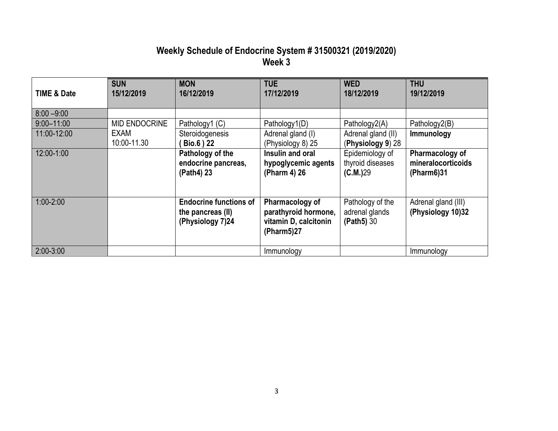## **Weekly Schedule of Endocrine System # 31500321 (2019/2020) Week 3**

| TIME & Date    | <b>SUN</b><br>15/12/2019 | <b>MON</b><br>16/12/2019                                               | <b>TUE</b><br>17/12/2019                                                       | <b>WED</b><br>18/12/2019                         | <b>THU</b><br>19/12/2019                            |
|----------------|--------------------------|------------------------------------------------------------------------|--------------------------------------------------------------------------------|--------------------------------------------------|-----------------------------------------------------|
| $8:00 - 9:00$  |                          |                                                                        |                                                                                |                                                  |                                                     |
| $9:00 - 11:00$ | <b>MID ENDOCRINE</b>     | Pathology1 (C)                                                         | Pathology1(D)                                                                  | Pathology2(A)                                    | Pathology2(B)                                       |
| 11:00-12:00    | EXAM<br>10:00-11.30      | Steroidogenesis<br><b>Bio.6</b> ) 22                                   | Adrenal gland (I)<br>(Physiology 8) 25                                         | Adrenal gland (II)<br>(Physiology 9) 28          | Immunology                                          |
| 12:00-1:00     |                          | Pathology of the<br>endocrine pancreas,<br>(Path4) 23                  | Insulin and oral<br>hypoglycemic agents<br>(Pharm 4) 26                        | Epidemiology of<br>thyroid diseases<br>(C.M.)29  | Pharmacology of<br>mineralocorticoids<br>(Pharm6)31 |
| $1:00 - 2:00$  |                          | <b>Endocrine functions of</b><br>the pancreas (II)<br>(Physiology 7)24 | Pharmacology of<br>parathyroid hormone,<br>vitamin D, calcitonin<br>(Pharm5)27 | Pathology of the<br>adrenal glands<br>(Path5) 30 | Adrenal gland (III)<br>(Physiology 10)32            |
| $2:00-3:00$    |                          |                                                                        | Immunology                                                                     |                                                  | Immunology                                          |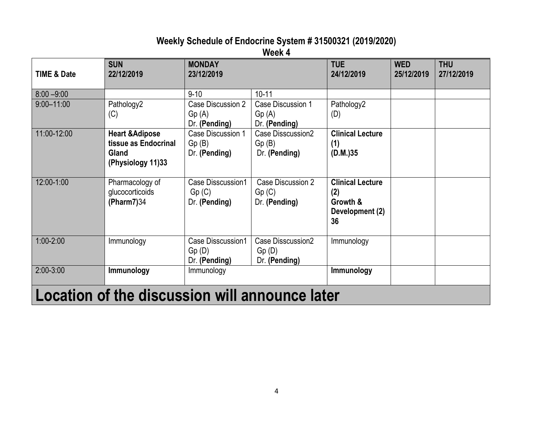# **Weekly Schedule of Endocrine System # 31500321 (2019/2020)**

**Week 4**

| <b>TIME &amp; Date</b>                         | <b>SUN</b><br>22/12/2019                                                         | <b>MONDAY</b><br>23/12/2019                        |                                             | <b>TUE</b><br>24/12/2019                                            | <b>WED</b><br>25/12/2019 | <b>THU</b><br>27/12/2019 |
|------------------------------------------------|----------------------------------------------------------------------------------|----------------------------------------------------|---------------------------------------------|---------------------------------------------------------------------|--------------------------|--------------------------|
| $8:00 - 9:00$                                  |                                                                                  | $9 - 10$                                           | $10 - 11$                                   |                                                                     |                          |                          |
| $9:00 - 11:00$                                 | Pathology2<br>(C)                                                                | <b>Case Discussion 2</b><br>Gp(A)<br>Dr. (Pending) | Case Discussion 1<br>Gp(A)<br>Dr. (Pending) | Pathology2<br>(D)                                                   |                          |                          |
| 11:00-12:00                                    | <b>Heart &amp; Adipose</b><br>tissue as Endocrinal<br>Gland<br>(Physiology 11)33 | Case Discussion 1<br>Gp(B)<br>Dr. (Pending)        | Case Disscussion2<br>Gp(B)<br>Dr. (Pending) | <b>Clinical Lecture</b><br>(1)<br>(D.M.)35                          |                          |                          |
| 12:00-1:00                                     | Pharmacology of<br>glucocorticoids<br>(Pharm7)34                                 | Case Disscussion1<br>Gp(C)<br>Dr. (Pending)        | Case Discussion 2<br>Gp(C)<br>Dr. (Pending) | <b>Clinical Lecture</b><br>(2)<br>Growth &<br>Development (2)<br>36 |                          |                          |
| $1:00 - 2:00$                                  | Immunology                                                                       | Case Disscussion1<br>Gp(D)<br>Dr. (Pending)        | Case Disscussion2<br>Gp(D)<br>Dr. (Pending) | Immunology                                                          |                          |                          |
| $2:00-3:00$                                    | Immunology                                                                       | Immunology                                         |                                             | Immunology                                                          |                          |                          |
| Location of the discussion will announce later |                                                                                  |                                                    |                                             |                                                                     |                          |                          |